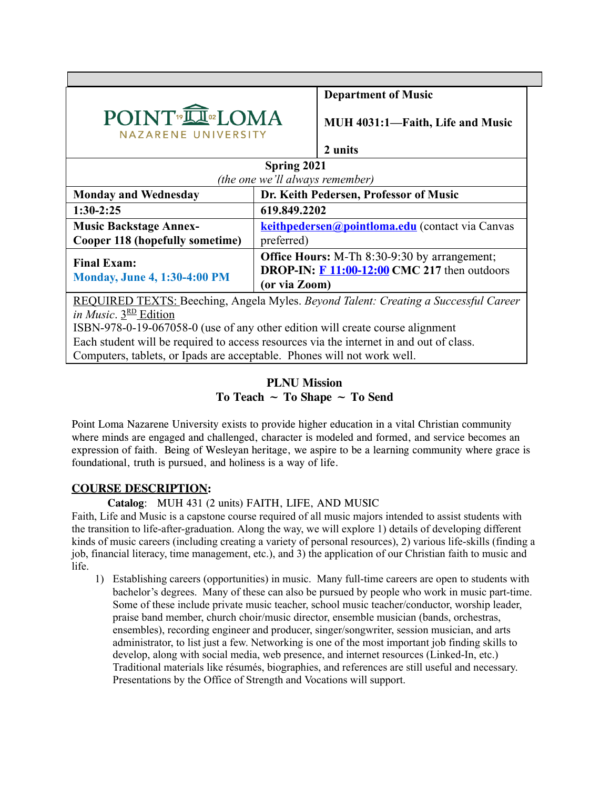|                                                                                     | <b>Department of Music</b>                                                                                             |  |
|-------------------------------------------------------------------------------------|------------------------------------------------------------------------------------------------------------------------|--|
| POINT <sup>®</sup> IOMA<br><b>NAZARENE UNIVERSITY</b>                               | MUH 4031:1-Faith, Life and Music                                                                                       |  |
|                                                                                     | 2 units                                                                                                                |  |
| Spring 2021                                                                         |                                                                                                                        |  |
| (the one we'll always remember)                                                     |                                                                                                                        |  |
| <b>Monday and Wednesday</b>                                                         | Dr. Keith Pedersen, Professor of Music                                                                                 |  |
| $1:30-2:25$                                                                         | 619.849.2202                                                                                                           |  |
| <b>Music Backstage Annex-</b>                                                       | keithpedersen@pointloma.edu (contact via Canvas                                                                        |  |
| <b>Cooper 118 (hopefully sometime)</b>                                              | preferred)                                                                                                             |  |
| <b>Final Exam:</b><br><b>Monday, June 4, 1:30-4:00 PM</b>                           | <b>Office Hours:</b> M-Th 8:30-9:30 by arrangement;<br>DROP-IN: $F 11:00-12:00$ CMC 217 then outdoors<br>(or via Zoom) |  |
| REQUIRED TEXTS: Beeching, Angela Myles. Beyond Talent: Creating a Successful Career |                                                                                                                        |  |
| in Music. $3^{RD}$ Edition                                                          |                                                                                                                        |  |
| ISBN-978-0-19-067058-0 (use of any other edition will create course alignment       |                                                                                                                        |  |

Each student will be required to access resources via the internet in and out of class.

Computers, tablets, or Ipads are acceptable. Phones will not work well.

# **PLNU Mission To Teach ~ To Shape ~ To Send**

Point Loma Nazarene University exists to provide higher education in a vital Christian community where minds are engaged and challenged, character is modeled and formed, and service becomes an expression of faith. Being of Wesleyan heritage, we aspire to be a learning community where grace is foundational, truth is pursued, and holiness is a way of life.

## **COURSE DESCRIPTION:**

**Catalog**: MUH 431 (2 units) FAITH, LIFE, AND MUSIC

Faith, Life and Music is a capstone course required of all music majors intended to assist students with the transition to life-after-graduation. Along the way, we will explore 1) details of developing different kinds of music careers (including creating a variety of personal resources), 2) various life-skills (finding a job, financial literacy, time management, etc.), and 3) the application of our Christian faith to music and life.

1) Establishing careers (opportunities) in music. Many full-time careers are open to students with bachelor's degrees. Many of these can also be pursued by people who work in music part-time. Some of these include private music teacher, school music teacher/conductor, worship leader, praise band member, church choir/music director, ensemble musician (bands, orchestras, ensembles), recording engineer and producer, singer/songwriter, session musician, and arts administrator, to list just a few. Networking is one of the most important job finding skills to develop, along with social media, web presence, and internet resources (Linked-In, etc.) Traditional materials like résumés, biographies, and references are still useful and necessary. Presentations by the Office of Strength and Vocations will support.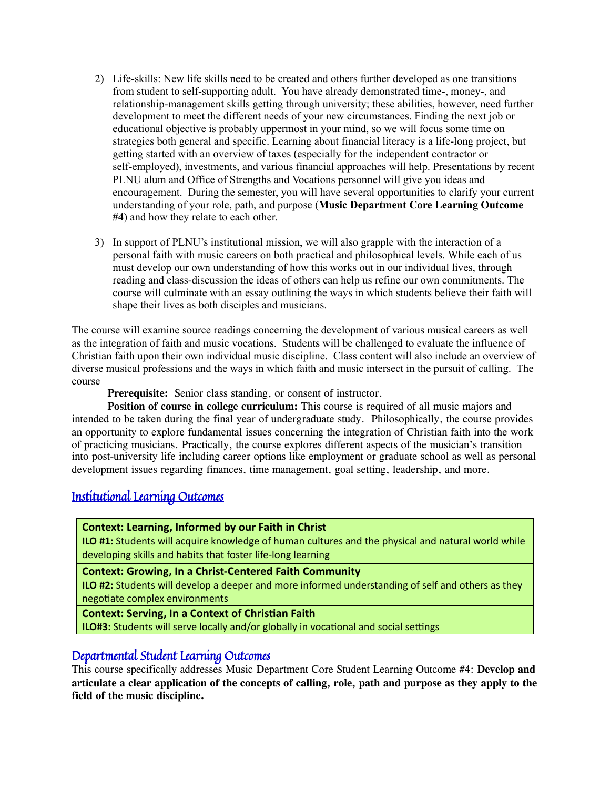- 2) Life-skills: New life skills need to be created and others further developed as one transitions from student to self-supporting adult. You have already demonstrated time-, money-, and relationship-management skills getting through university; these abilities, however, need further development to meet the different needs of your new circumstances. Finding the next job or educational objective is probably uppermost in your mind, so we will focus some time on strategies both general and specific. Learning about financial literacy is a life-long project, but getting started with an overview of taxes (especially for the independent contractor or self-employed), investments, and various financial approaches will help. Presentations by recent PLNU alum and Office of Strengths and Vocations personnel will give you ideas and encouragement. During the semester, you will have several opportunities to clarify your current understanding of your role, path, and purpose (**Music Department Core Learning Outcome #4**) and how they relate to each other.
- 3) In support of PLNU's institutional mission, we will also grapple with the interaction of a personal faith with music careers on both practical and philosophical levels. While each of us must develop our own understanding of how this works out in our individual lives, through reading and class-discussion the ideas of others can help us refine our own commitments. The course will culminate with an essay outlining the ways in which students believe their faith will shape their lives as both disciples and musicians.

The course will examine source readings concerning the development of various musical careers as well as the integration of faith and music vocations. Students will be challenged to evaluate the influence of Christian faith upon their own individual music discipline. Class content will also include an overview of diverse musical professions and the ways in which faith and music intersect in the pursuit of calling. The course

**Prerequisite:** Senior class standing, or consent of instructor.

**Position of course in college curriculum:** This course is required of all music majors and intended to be taken during the final year of undergraduate study. Philosophically, the course provides an opportunity to explore fundamental issues concerning the integration of Christian faith into the work of practicing musicians. Practically, the course explores different aspects of the musician's transition into post-university life including career options like employment or graduate school as well as personal development issues regarding finances, time management, goal setting, leadership, and more.

# Institutional Learning Outcomes

## **Context: Learning, Informed by our Faith in Christ**

**ILO #1:** Students will acquire knowledge of human cultures and the physical and natural world while developing skills and habits that foster life-long learning

**Context: Growing, In a Christ-Centered Faith Community** 

**ILO #2:** Students will develop a deeper and more informed understanding of self and others as they negotiate complex environments

### **Context: Serving, In a Context of Christian Faith**

**ILO#3:** Students will serve locally and/or globally in vocational and social settings

# Departmental Student Learning Outcomes

This course specifically addresses Music Department Core Student Learning Outcome #4: **Develop and** articulate a clear application of the concepts of calling, role, path and purpose as they apply to the **field of the music discipline.**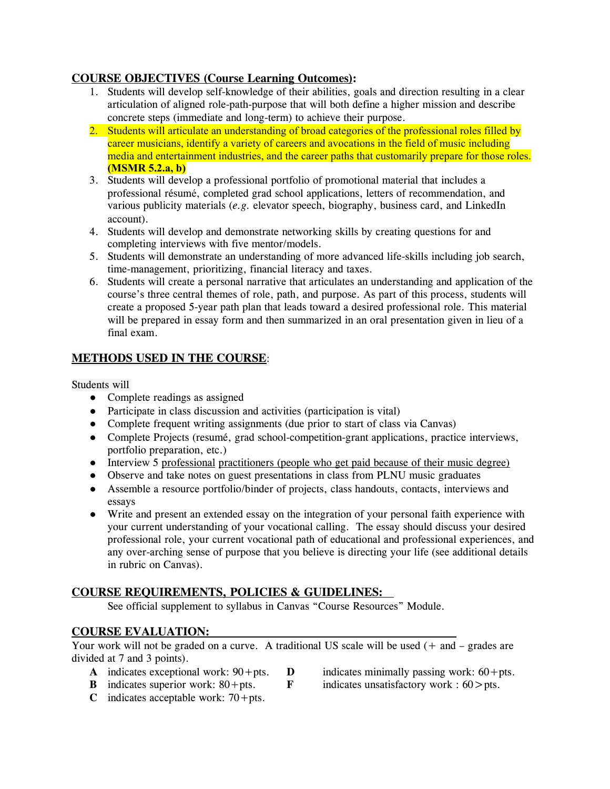## **COURSE OBJECTIVES (Course Learning Outcomes) :**

- 1. Students will develop self-knowledge of their abilities, goals and direction resulting in a clear articulation of aligned role-path-purpose that will both define a higher mission and describe concrete steps (immediate and long-term) to achieve their purpose.
- 2. Students will articulate an understanding of broad categories of the professional roles filled by career musicians, identify a variety of careers and avocations in the field of music including media and entertainment industries, and the career paths that customarily prepare for those roles. **(MSMR 5.2.a, b)**
- 3. Students will develop a professional portfolio of promotional material that includes a professional résumé, completed grad school applications, letters of recommendation, and various publicity materials (*e.g.* elevator speech, biography, business card, and LinkedIn account).
- 4. Students will develop and demonstrate networking skills by creating questions for and completing interviews with five mentor/models.
- 5. Students will demonstrate an understanding of more advanced life-skills including job search, time-management, prioritizing, financial literacy and taxes.
- 6. Students will create a personal narrative that articulates an understanding and application of the course's three central themes of role, path, and purpose. As part of this process, students will create a proposed 5-year path plan that leads toward a desired professional role. This material will be prepared in essay form and then summarized in an oral presentation given in lieu of a final exam.

## **METHODS USED IN THE COURSE:**

Students will

- Complete readings as assigned
- Participate in class discussion and activities (participation is vital)
- Complete frequent writing assignments (due prior to start of class via Canvas)
- Complete Projects (resumé, grad school-competition-grant applications, practice interviews, portfolio preparation, etc.)
- Interview 5 professional practitioners (people who get paid because of their music degree)
- Observe and take notes on guest presentations in class from PLNU music graduates
- Assemble a resource portfolio/binder of projects, class handouts, contacts, interviews and essays
- Write and present an extended essay on the integration of your personal faith experience with your current understanding of your vocational calling. The essay should discuss your desired professional role, your current vocational path of educational and professional experiences, and any over-arching sense of purpose that you believe is directing your life (see additional details in rubric on Canvas).

## **COURSE REQUIREMENTS, POLICIES & GUIDELINES:**

See official supplement to syllabus in Canvas "Course Resources" Module.

## **COURSE EVALUATION:**

Your work will not be graded on a curve. A traditional US scale will be used  $(+)$  and  $-$  grades are divided at 7 and 3 points).

- **A** indicates exceptional work:  $90 + pts$ . **D** indicates minimally passing work:  $60 + pts$ .
	-
- **C** indicates acceptable work:  $70 + pts.$
- **B** indicates superior work: 80+pts. **F** indicates unsatisfactory work : 60>pts.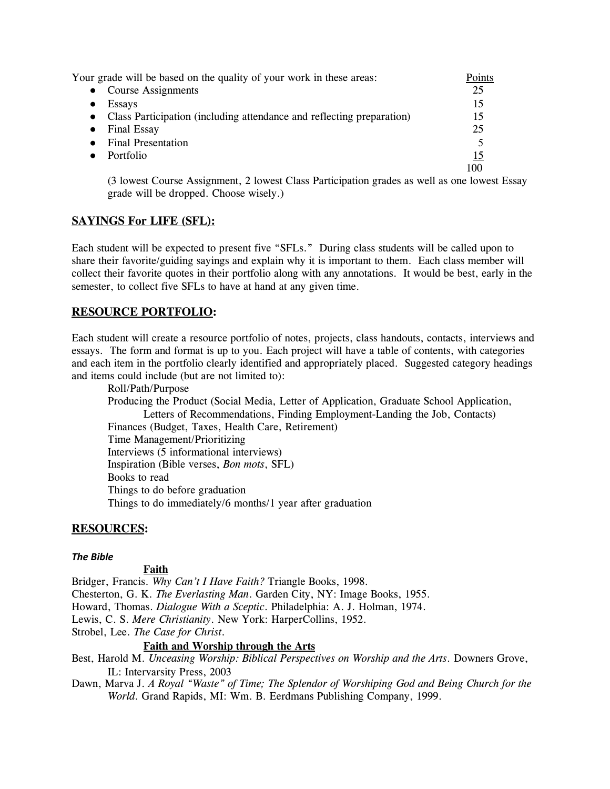| Your grade will be based on the quality of your work in these areas:    | Points |
|-------------------------------------------------------------------------|--------|
| • Course Assignments                                                    | 25     |
| <b>Essays</b>                                                           | 15     |
| • Class Participation (including attendance and reflecting preparation) | 15     |
| Final Essay                                                             | 25     |
| <b>Final Presentation</b>                                               |        |
| Portfolio                                                               |        |
|                                                                         | 100    |

(3 lowest Course Assignment, 2 lowest Class Participation grades as well as one lowest Essay grade will be dropped. Choose wisely.)

## **SAYINGS For LIFE (SFL):**

Each student will be expected to present five "SFLs." During class students will be called upon to share their favorite/guiding sayings and explain why it is important to them. Each class member will collect their favorite quotes in their portfolio along with any annotations. It would be best, early in the semester, to collect five SFLs to have at hand at any given time.

## **RESOURCE PORTFOLIO:**

Each student will create a resource portfolio of notes, projects, class handouts, contacts, interviews and essays. The form and format is up to you. Each project will have a table of contents, with categories and each item in the portfolio clearly identified and appropriately placed. Suggested category headings and items could include (but are not limited to):

Roll/Path/Purpose Producing the Product (Social Media, Letter of Application, Graduate School Application, Letters of Recommendations, Finding Employment-Landing the Job, Contacts) Finances (Budget, Taxes, Health Care, Retirement) Time Management/Prioritizing Interviews (5 informational interviews) Inspiration (Bible verses, *Bon mots*, SFL) Books to read Things to do before graduation Things to do immediately/6 months/1 year after graduation

### **RESOURCES :**

### *The Bible*

#### **Faith**

Bridger, Francis. *Why Can't I Have Faith?* Triangle Books, 1998. Chesterton, G. K. *The Everlasting Man*. Garden City, NY: Image Books, 1955. Howard, Thomas. *Dialogue With a Sceptic*. Philadelphia: A. J. Holman, 1974. Lewis, C. S. *Mere Christianity*. New York: HarperCollins, 1952. Strobel, Lee. *The Case for Christ*.

### **Faith and Worship through the Arts**

Best, Harold M. *Unceasing Worship: Biblical Perspectives on Worship and the Arts*. Downers Grove, IL: Intervarsity Press, 2003

Dawn, Marva J. *A Royal "Waste" of Time; The Splendor of Worshiping God and Being Church for the World*. Grand Rapids, MI: Wm. B. Eerdmans Publishing Company, 1999.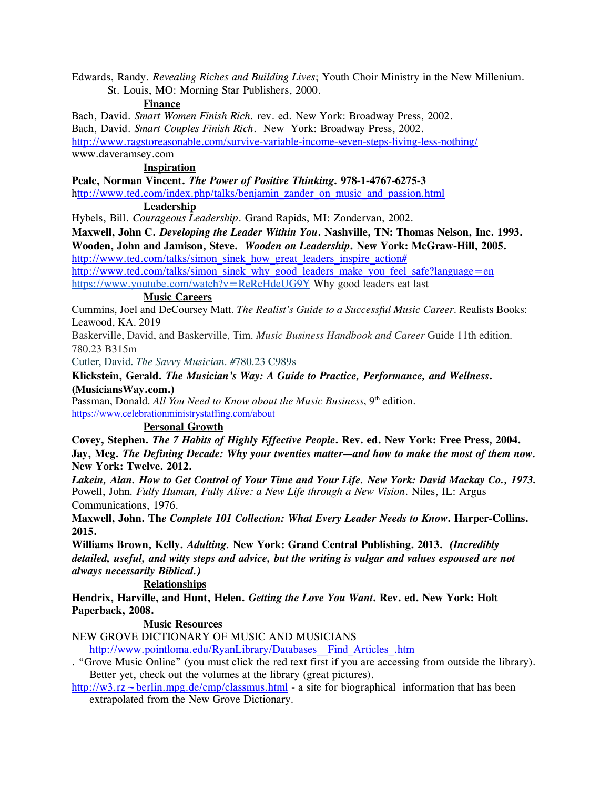Edwards, Randy. *Revealing Riches and Building Lives*; Youth Choir Ministry in the New Millenium. St. Louis, MO: Morning Star Publishers, 2000.

#### **Finance**

Bach, David. *Smart Women Finish Rich.* rev. ed. New York: Broadway Press, 2002. Bach, David. *Smart Couples Finish Rich*. New York: Broadway Press, 2002. <http://www.ragstoreasonable.com/survive-variable-income-seven-steps-living-less-nothing/> www.daveramsey.com

## **Inspiration**

**Peale, Norman Vincent.** *The Power of Positive Thinking***. 978-1-4767-6275-3** [http://www.ted.com/index.php/talks/benjamin\\_zander\\_on\\_music\\_and\\_passion.html](http://www.ted.com/index.php/talks/benjamin_zander_on_music_and_passion.html)

## **Leadership**

Hybels, Bill. *Courageous Leadership*. Grand Rapids, MI: Zondervan, 2002.

**Maxwell, John C.** *Developing the Leader Within You***. Nashville, TN: Thomas Nelson, Inc. 1993. Wooden, John and Jamison, Steve.** *Wooden on Leadership***. New York: McGraw-Hill, 2005.** [http://www.ted.com/talks/simon\\_sinek\\_how\\_great\\_leaders\\_inspire\\_action#](http://www.ted.com/talks/simon_sinek_how_great_leaders_inspire_action)

[http://www.ted.com/talks/simon\\_sinek\\_why\\_good\\_leaders\\_make\\_you\\_feel\\_safe?language=en](http://www.ted.com/talks/simon_sinek_why_good_leaders_make_you_feel_safe?language=en) <https://www.youtube.com/watch?v=ReRcHdeUG9Y> Why good leaders eat last

### **Music Careers**

Cummins, Joel and DeCoursey Matt. *The Realist's Guide to a Successful Music Career*. Realists Books: Leawood, KA. 2019

Baskerville, David, and Baskerville, Tim. *Music Business Handbook and Career* Guide 11th edition. 780.23 B315m

Cutler, David. *The Savvy Musician*. #780.23 C989s

## **Klickstein, Gerald.** *The Musician's Way: A Guide to Practice, Performance, and Wellness***. (MusiciansWay.com.)**

Passman, Donald. *All You Need to Know about the Music Business*, 9 th edition. <https://www.celebrationministrystaffing.com/about>

## **Personal Growth**

**Covey, Stephen.** *The 7 Habits of Highly Effective People***. Rev. ed. New York: Free Press, 2004. Jay, Meg.** *The Defining Decade: Why your twenties matter—and how to make the most of them now.* **New York: Twelve. 2012.**

*Lakein, Alan. How to Get Control of Your Time and Your Life. New York: David Mackay Co., 1973.* Powell, John*. Fully Human, Fully Alive: a New Life through a New Vision*. Niles, IL: Argus Communications, 1976.

**Maxwell, John. Th***e Complete 101 Collection: What Every Leader Needs to Know***. Harper-Collins. 2015.**

**Williams Brown, Kelly.** *Adulting.* **New York: Grand Central Publishing. 2013.** *(Incredibly detailed, useful, and witty steps and advice, but the writing is vulgar and values espoused are not always necessarily Biblical.)*

## **Relationships**

**Hendrix, Harville, and Hunt, Helen.** *Getting the Love You Want***. Rev. ed. New York: Holt Paperback, 2008.**

### **Music Resources**

NEW GROVE DICTIONARY OF MUSIC AND MUSICIANS

[http://www.pointloma.edu/RyanLibrary/Databases\\_\\_Find\\_Articles\\_.htm](http://www.pointloma.edu/RyanLibrary/Databases__Find_Articles_.htm)

. "Grove Music Online" (you must click the red text first if you are accessing from outside the library). Better yet, check out the volumes at the library (great pictures).

http://w3.rz  $\sim$  berlin.mpg.de/cmp/classmus.html - a site for biographical information that has been extrapolated from the New Grove Dictionary*.*